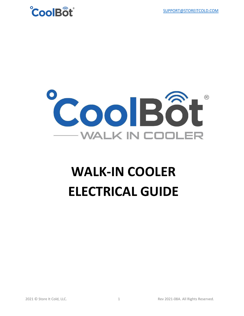



# **WALK-IN COOLER ELECTRICAL GUIDE**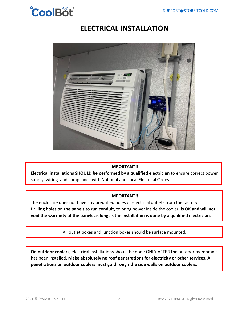

# **ELECTRICAL INSTALLATION**



## **IMPORTANT!!**

**Electrical installations SHOULD be performed by a qualified electrician** to ensure correct power supply, wiring, and compliance with National and Local Electrical Codes.

## **IMPORTANT!!**

The enclosure does not have any predrilled holes or electrical outlets from the factory. **Drilling holes on the panels to run conduit**, to bring power inside the cooler**, is OK and will not void the warranty of the panels as long as the installation is done by a qualified electrician**.

All outlet boxes and junction boxes should be surface mounted.

**On outdoor coolers**, electrical installations should be done ONLY AFTER the outdoor membrane has been installed. **Make absolutely no roof penetrations for electricity or other services. All penetrations on outdoor coolers must go through the side walls on outdoor coolers.**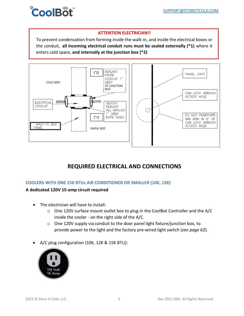

## **ATTENTION ELECTRICIAN!!**

To prevent condensation from forming inside the walk-in, and inside the electrical boxes or the conduit, **all incoming electrical conduit runs must be sealed externally (\*1)** where it enters cold space, **and internally at the junction box (\*2)**



# **REQUIRED ELECTRICAL AND CONNECTIONS**

## **COOLERS WITH ONE 15K BTUs AIR CONDITIONER OR SMALLER (10K, 12K)**

## **A dedicated 120V 15-amp circuit required**

- The electrician will have to install:
	- o One 120V surface mount outlet box to plug in the CoolBot Controller and the A/C inside the cooler - on the right side of the A/C.
	- o One 120V supply via conduit to the door panel light fixture/junction box, to provide power to the light and the factory pre-wired light switch (*see page 62*).
- A/C plug configuration (10K, 12K & 15K BTU):

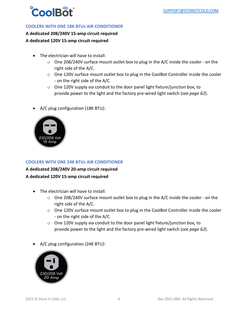

## **COOLERS WITH ONE 18K BTUs AIR CONDITIONER**

**A dedicated 208/240V 15-amp circuit required A dedicated 120V 15-amp circuit required**

- The electrician will have to install:
	- $\circ$  One 208/240V surface mount outlet box to plug in the A/C inside the cooler on the right side of the A/C.
	- o One 120V surface mount outlet box to plug in the CoolBot Controller inside the cooler - on the right side of the A/C.
	- o One 120V supply via conduit to the door panel light fixture/junction box, to provide power to the light and the factory pre-wired light switch (*see page 62*).
- A/C plug configuration (18K BTU):



## **COOLERS WITH ONE 24K BTUs AIR CONDITIONER**

## **A dedicated 208/240V 20-amp circuit required**

## **A dedicated 120V 15-amp circuit required**

- The electrician will have to install:
	- $\circ$  One 208/240V surface mount outlet box to plug in the A/C inside the cooler on the right side of the A/C.
	- o One 120V surface mount outlet box to plug in the CoolBot Controller inside the cooler - on the right side of the A/C.
	- o One 120V supply via conduit to the door panel light fixture/junction box, to provide power to the light and the factory pre-wired light switch (*see page 62*).
- A/C plug configuration (24K BTU):

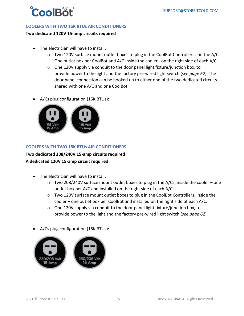

## **COOLERS WITH TWO 15K BTUs AIR CONDITIONERS**

#### **Two dedicated 120V 15-amp circuits required**

- The electrician will have to install:
	- o Two 120V surface mount outlet boxes to plug in the CoolBot Controllers and the A/Cs. One outlet box per CoolBot and A/C inside the cooler - on the right side of each A/C.
	- o One 120V supply via conduit to the door panel light fixture/junction box, to provide power to the light and the factory pre-wired light switch (*see page 62*). The door panel connection can be hooked up to either one of the two dedicated circuits shared with one A/C and one CoolBot.
- A/Cs plug configuration (15K BTUs):



## **COOLERS WITH TWO 18K BTUs AIR CONDITIONERS**

## **Two dedicated 208/240V 15-amp circuits required A dedicated 120V 15-amp circuit required**

- The electrician will have to install:
	- $\circ$  Two 208/240V surface mount outlet boxes to plug in the A/Cs, inside the cooler one outlet box per A/C and installed on the right side of each A/C.
	- o Two 120V surface mount outlet boxes to plug in the CoolBot Controllers, inside the cooler – one outlet box per CoolBot and installed on the right side of each A/C.
	- o One 120V supply via conduit to the door panel light fixture/junction box, to provide power to the light and the factory pre-wired light switch (*see page 62*).
- A/Cs plug configuration (18K BTUs):

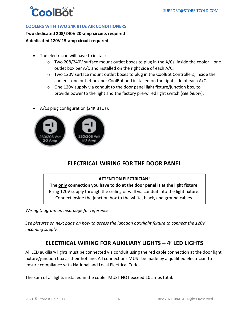

## **COOLERS WITH TWO 24K BTUs AIR CONDITIONERS**

**Two dedicated 208/240V 20-amp circuits required A dedicated 120V 15-amp circuit required**

- The electrician will have to install:
	- $\circ$  Two 208/240V surface mount outlet boxes to plug in the A/Cs, inside the cooler one outlet box per A/C and installed on the right side of each A/C.
	- o Two 120V surface mount outlet boxes to plug in the CoolBot Controllers, inside the cooler – one outlet box per CoolBot and installed on the right side of each A/C.
	- $\circ$  One 120V supply via conduit to the door panel light fixture/junction box, to provide power to the light and the factory pre-wired light switch (*see below*).
- A/Cs plug configuration (24K BTUs):



## **ELECTRICAL WIRING FOR THE DOOR PANEL**

## **ATTENTION ELECTRICIAN!**

**The only connection you have to do at the door panel is at the light fixture**. Bring 120V supply through the ceiling or wall via conduit into the light fixture. Connect inside the junction box to the white, black, and ground cables.

*Wiring Diagram on next page for reference.*

*See pictures on next page on how to access the junction box/light fixture to connect the 120V incoming supply.* 

## **ELECTRICAL WIRING FOR AUXILIARY LIGHTS – 4' LED LIGHTS**

All LED auxiliary lights must be connected via conduit using the red cable connection at the door light fixture/junction box as their hot line. All connections MUST be made by a qualified electrician to ensure compliance with National and Local Electrical Codes.

The sum of all lights installed in the cooler MUST NOT exceed 10 amps total.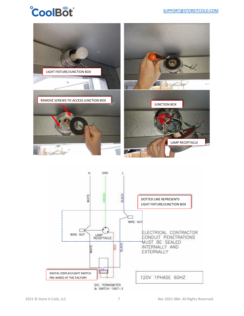# **CoolBot**